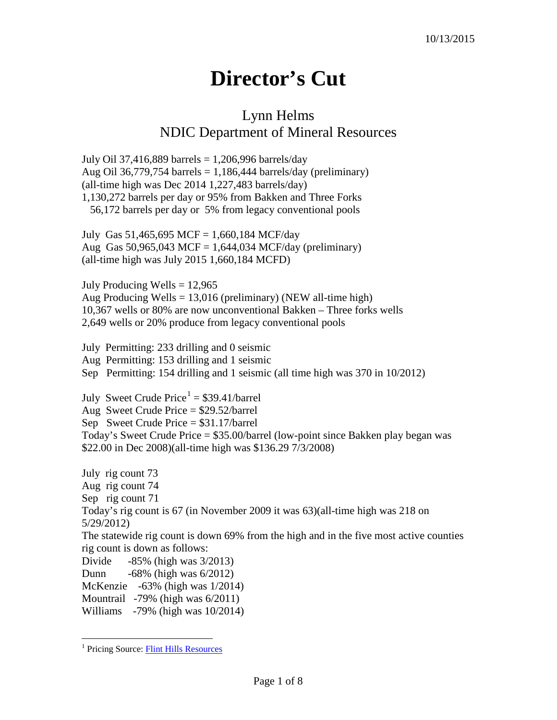## **Director's Cut**

## Lynn Helms NDIC Department of Mineral Resources

July Oil 37,416,889 barrels = 1,206,996 barrels/day Aug Oil 36,779,754 barrels = 1,186,444 barrels/day (preliminary) (all-time high was Dec 2014 1,227,483 barrels/day) 1,130,272 barrels per day or 95% from Bakken and Three Forks 56,172 barrels per day or 5% from legacy conventional pools

July Gas 51,465,695 MCF = 1,660,184 MCF/day Aug Gas  $50,965,043$  MCF = 1,644,034 MCF/day (preliminary) (all-time high was July 2015 1,660,184 MCFD)

July Producing Wells  $= 12,965$ Aug Producing Wells = 13,016 (preliminary) (NEW all-time high) 10,367 wells or 80% are now unconventional Bakken – Three forks wells 2,649 wells or 20% produce from legacy conventional pools

July Permitting: 233 drilling and 0 seismic Aug Permitting: 153 drilling and 1 seismic Sep Permitting: 154 drilling and 1 seismic (all time high was 370 in 10/2012)

July Sweet Crude Price<sup>[1](#page-0-0)</sup> =  $$39.41/b$ arrel Aug Sweet Crude Price = \$29.52/barrel Sep Sweet Crude Price = \$31.17/barrel Today's Sweet Crude Price = \$35.00/barrel (low-point since Bakken play began was \$22.00 in Dec 2008)(all-time high was \$136.29 7/3/2008)

July rig count 73 Aug rig count 74 Sep rig count 71 Today's rig count is 67 (in November 2009 it was 63)(all-time high was 218 on 5/29/2012) The statewide rig count is down 69% from the high and in the five most active counties rig count is down as follows: Divide -85% (high was 3/2013) Dunn -68% (high was 6/2012) McKenzie -63% (high was 1/2014) Mountrail -79% (high was 6/2011)

Williams -79% (high was 10/2014)

<span id="page-0-0"></span><sup>&</sup>lt;sup>1</sup> Pricing Source: [Flint Hills Resources](http://www.fhr.com/refining/bulletins.aspx?AspxAutoDetectCookieSupport=1)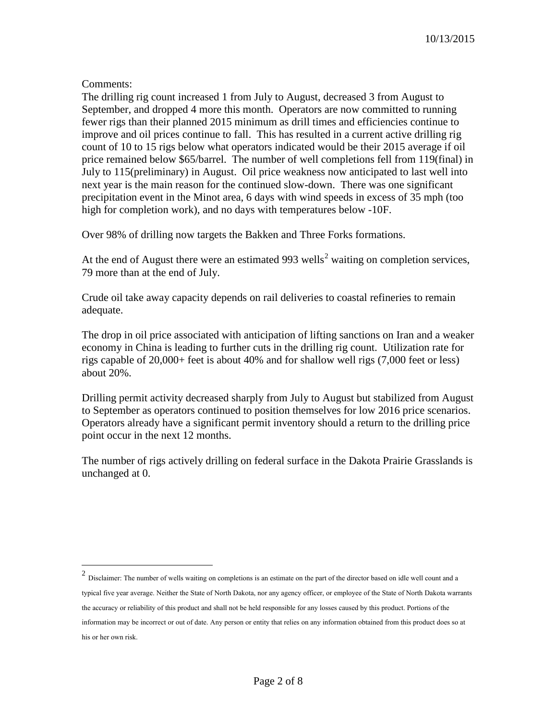## Comments:

The drilling rig count increased 1 from July to August, decreased 3 from August to September, and dropped 4 more this month. Operators are now committed to running fewer rigs than their planned 2015 minimum as drill times and efficiencies continue to improve and oil prices continue to fall. This has resulted in a current active drilling rig count of 10 to 15 rigs below what operators indicated would be their 2015 average if oil price remained below \$65/barrel. The number of well completions fell from 119(final) in July to 115(preliminary) in August. Oil price weakness now anticipated to last well into next year is the main reason for the continued slow-down. There was one significant precipitation event in the Minot area, 6 days with wind speeds in excess of 35 mph (too high for completion work), and no days with temperatures below -10F.

Over 98% of drilling now targets the Bakken and Three Forks formations.

At the end of August there were an estimated 993 wells<sup>[2](#page-1-0)</sup> waiting on completion services, 79 more than at the end of July.

Crude oil take away capacity depends on rail deliveries to coastal refineries to remain adequate.

The drop in oil price associated with anticipation of lifting sanctions on Iran and a weaker economy in China is leading to further cuts in the drilling rig count. Utilization rate for rigs capable of 20,000+ feet is about 40% and for shallow well rigs (7,000 feet or less) about 20%.

Drilling permit activity decreased sharply from July to August but stabilized from August to September as operators continued to position themselves for low 2016 price scenarios. Operators already have a significant permit inventory should a return to the drilling price point occur in the next 12 months.

The number of rigs actively drilling on federal surface in the Dakota Prairie Grasslands is unchanged at 0.

<span id="page-1-0"></span> <sup>2</sup> Disclaimer: The number of wells waiting on completions is an estimate on the part of the director based on idle well count and a typical five year average. Neither the State of North Dakota, nor any agency officer, or employee of the State of North Dakota warrants the accuracy or reliability of this product and shall not be held responsible for any losses caused by this product. Portions of the information may be incorrect or out of date. Any person or entity that relies on any information obtained from this product does so at his or her own risk.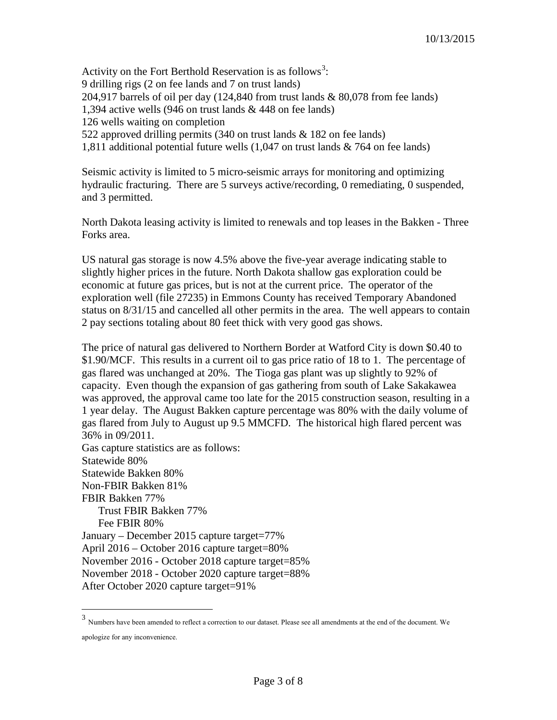Activity on the Fort Berthold Reservation is as follows<sup>[3](#page-2-0)</sup>: 9 drilling rigs (2 on fee lands and 7 on trust lands) 204,917 barrels of oil per day (124,840 from trust lands & 80,078 from fee lands) 1,394 active wells (946 on trust lands & 448 on fee lands) 126 wells waiting on completion 522 approved drilling permits (340 on trust lands & 182 on fee lands) 1,811 additional potential future wells (1,047 on trust lands & 764 on fee lands)

Seismic activity is limited to 5 micro-seismic arrays for monitoring and optimizing hydraulic fracturing. There are 5 surveys active/recording, 0 remediating, 0 suspended, and 3 permitted.

North Dakota leasing activity is limited to renewals and top leases in the Bakken - Three Forks area.

US natural gas storage is now 4.5% above the five-year average indicating stable to slightly higher prices in the future. North Dakota shallow gas exploration could be economic at future gas prices, but is not at the current price. The operator of the exploration well (file 27235) in Emmons County has received Temporary Abandoned status on 8/31/15 and cancelled all other permits in the area. The well appears to contain 2 pay sections totaling about 80 feet thick with very good gas shows.

The price of natural gas delivered to Northern Border at Watford City is down \$0.40 to \$1.90/MCF. This results in a current oil to gas price ratio of 18 to 1. The percentage of gas flared was unchanged at 20%. The Tioga gas plant was up slightly to 92% of capacity. Even though the expansion of gas gathering from south of Lake Sakakawea was approved, the approval came too late for the 2015 construction season, resulting in a 1 year delay. The August Bakken capture percentage was 80% with the daily volume of gas flared from July to August up 9.5 MMCFD. The historical high flared percent was 36% in 09/2011. Gas capture statistics are as follows: Statewide 80% Statewide Bakken 80% Non-FBIR Bakken 81% FBIR Bakken 77%

 Trust FBIR Bakken 77% Fee FBIR 80% January – December 2015 capture target=77% April 2016 – October 2016 capture target=80% November 2016 - October 2018 capture target=85% November 2018 - October 2020 capture target=88% After October 2020 capture target=91%

<span id="page-2-0"></span> <sup>3</sup> Numbers have been amended to reflect a correction to our dataset.Please see all amendments at the end of the document. We apologize for any inconvenience.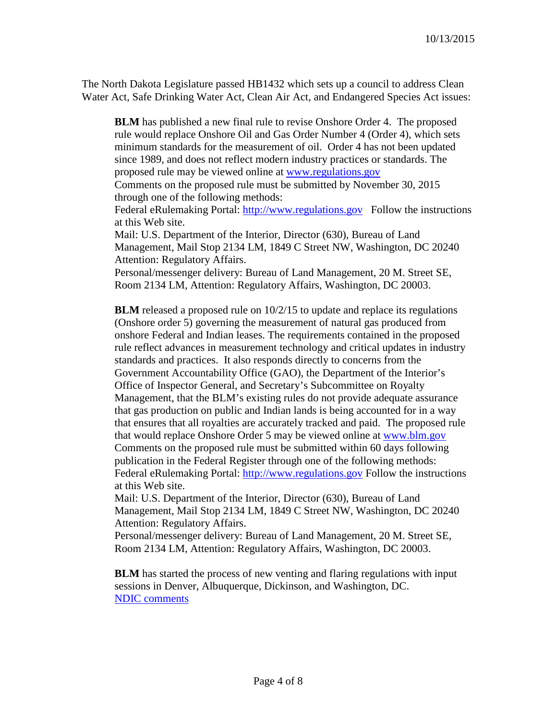The North Dakota Legislature passed HB1432 which sets up a council to address Clean Water Act, Safe Drinking Water Act, Clean Air Act, and Endangered Species Act issues:

**BLM** has published a new final rule to revise Onshore Order 4. The proposed rule would replace Onshore Oil and Gas Order Number 4 (Order 4), which sets minimum standards for the measurement of oil. Order 4 has not been updated since 1989, and does not reflect modern industry practices or standards. The proposed rule may be viewed online at [www.regulations.gov](http://www.regulations.gov/)

Comments on the proposed rule must be submitted by November 30, 2015 through one of the following methods:

Federal eRulemaking Portal: [http://www.regulations.gov](http://www.regulations.gov/) Follow the instructions at this Web site.

Mail: U.S. Department of the Interior, Director (630), Bureau of Land Management, Mail Stop 2134 LM, 1849 C Street NW, Washington, DC 20240 Attention: Regulatory Affairs.

Personal/messenger delivery: Bureau of Land Management, 20 M. Street SE, Room 2134 LM, Attention: Regulatory Affairs, Washington, DC 20003.

**BLM** released a proposed rule on  $10/2/15$  to update and replace its regulations (Onshore order 5) governing the measurement of natural gas produced from onshore Federal and Indian leases. The requirements contained in the proposed rule reflect advances in measurement technology and critical updates in industry standards and practices. It also responds directly to concerns from the Government Accountability Office (GAO), the Department of the Interior's Office of Inspector General, and Secretary's Subcommittee on Royalty Management, that the BLM's existing rules do not provide adequate assurance that gas production on public and Indian lands is being accounted for in a way that ensures that all royalties are accurately tracked and paid. The proposed rule that would replace Onshore Order 5 may be viewed online at [www.blm.gov](http://www.blm.gov/) Comments on the proposed rule must be submitted within 60 days following publication in the Federal Register through one of the following methods: Federal eRulemaking Portal: [http://www.regulations.gov](http://www.regulations.gov/) Follow the instructions at this Web site.

Mail: U.S. Department of the Interior, Director (630), Bureau of Land Management, Mail Stop 2134 LM, 1849 C Street NW, Washington, DC 20240 Attention: Regulatory Affairs.

Personal/messenger delivery: Bureau of Land Management, 20 M. Street SE, Room 2134 LM, Attention: Regulatory Affairs, Washington, DC 20003.

**BLM** has started the process of new venting and flaring regulations with input sessions in Denver, Albuquerque, Dickinson, and Washington, DC. [NDIC comments](http://www.nd.gov/ndic/ic-press/BLM-comments-140509.pdf)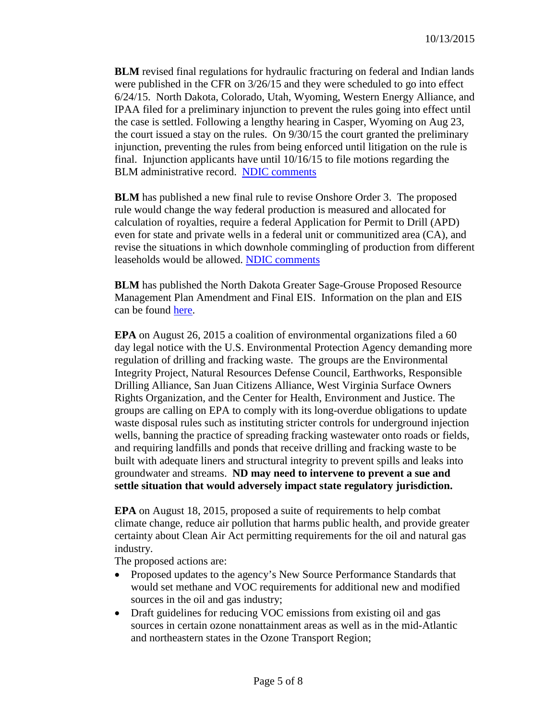**BLM** revised final regulations for hydraulic fracturing on federal and Indian lands were published in the CFR on 3/26/15 and they were scheduled to go into effect 6/24/15. North Dakota, Colorado, Utah, Wyoming, Western Energy Alliance, and IPAA filed for a preliminary injunction to prevent the rules going into effect until the case is settled. Following a lengthy hearing in Casper, Wyoming on Aug 23, the court issued a stay on the rules. On 9/30/15 the court granted the preliminary injunction, preventing the rules from being enforced until litigation on the rule is final. Injunction applicants have until 10/16/15 to file motions regarding the BLM administrative record. [NDIC comments](http://www.nd.gov/ndic/ic-press/BLM-comments-120625.pdf)

**BLM** has published a new final rule to revise Onshore Order 3. The proposed rule would change the way federal production is measured and allocated for calculation of royalties, require a federal Application for Permit to Drill (APD) even for state and private wells in a federal unit or communitized area (CA), and revise the situations in which downhole commingling of production from different leaseholds would be allowed. [NDIC comments](http://www.nd.gov/ndic/ic-press/BLM-Comments-OnshoreOrder3.pdf)

**BLM** has published the North Dakota Greater Sage-Grouse Proposed Resource Management Plan Amendment and Final EIS. Information on the plan and EIS can be found [here.](https://www.blm.gov/epl-front-office/eplanning/planAndProjectSite.do?methodName=dispatchToPatternPage¤tPageId=48797)

**EPA** on August 26, 2015 a coalition of environmental organizations filed a 60 day legal notice with the U.S. Environmental Protection Agency demanding more regulation of drilling and fracking waste. The groups are the Environmental Integrity Project, Natural Resources Defense Council, Earthworks, Responsible Drilling Alliance, San Juan Citizens Alliance, West Virginia Surface Owners Rights Organization, and the Center for Health, Environment and Justice. The groups are calling on EPA to comply with its long-overdue obligations to update waste disposal rules such as instituting stricter controls for underground injection wells, banning the practice of spreading fracking wastewater onto roads or fields, and requiring landfills and ponds that receive drilling and fracking waste to be built with adequate liners and structural integrity to prevent spills and leaks into groundwater and streams. **ND may need to intervene to prevent a sue and settle situation that would adversely impact state regulatory jurisdiction.**

**EPA** on August 18, 2015, proposed a suite of requirements to help combat climate change, reduce air pollution that harms public health, and provide greater certainty about Clean Air Act permitting requirements for the oil and natural gas industry.

The proposed actions are:

- Proposed updates to the agency's New Source Performance Standards that would set methane and VOC requirements for additional new and modified sources in the oil and gas industry;
- Draft guidelines for reducing VOC emissions from existing oil and gas sources in certain ozone nonattainment areas as well as in the mid-Atlantic and northeastern states in the Ozone Transport Region;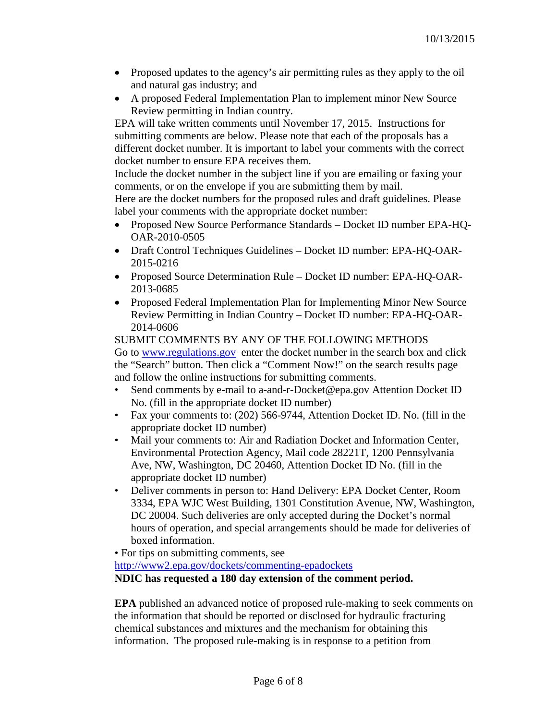- Proposed updates to the agency's air permitting rules as they apply to the oil and natural gas industry; and
- A proposed Federal Implementation Plan to implement minor New Source Review permitting in Indian country.

EPA will take written comments until November 17, 2015. Instructions for submitting comments are below. Please note that each of the proposals has a different docket number. It is important to label your comments with the correct docket number to ensure EPA receives them.

Include the docket number in the subject line if you are emailing or faxing your comments, or on the envelope if you are submitting them by mail.

Here are the docket numbers for the proposed rules and draft guidelines. Please label your comments with the appropriate docket number:

- Proposed New Source Performance Standards Docket ID number EPA-HQ-OAR-2010-0505
- Draft Control Techniques Guidelines Docket ID number: EPA-HQ-OAR-2015-0216
- Proposed Source Determination Rule Docket ID number: EPA-HQ-OAR-2013-0685
- Proposed Federal Implementation Plan for Implementing Minor New Source Review Permitting in Indian Country – Docket ID number: EPA-HQ-OAR-2014-0606

SUBMIT COMMENTS BY ANY OF THE FOLLOWING METHODS Go to [www.regulations.gov](http://www.regulations.gov/) enter the docket number in the search box and click the "Search" button. Then click a "Comment Now!" on the search results page and follow the online instructions for submitting comments.

- Send comments by e-mail to a-and-r-Docket@epa.gov Attention Docket ID No. (fill in the appropriate docket ID number)
- Fax your comments to: (202) 566-9744, Attention Docket ID. No. (fill in the appropriate docket ID number)
- Mail your comments to: Air and Radiation Docket and Information Center, Environmental Protection Agency, Mail code 28221T, 1200 Pennsylvania Ave, NW, Washington, DC 20460, Attention Docket ID No. (fill in the appropriate docket ID number)
- Deliver comments in person to: Hand Delivery: EPA Docket Center, Room 3334, EPA WJC West Building, 1301 Constitution Avenue, NW, Washington, DC 20004. Such deliveries are only accepted during the Docket's normal hours of operation, and special arrangements should be made for deliveries of boxed information.
- For tips on submitting comments, see

<http://www2.epa.gov/dockets/commenting-epadockets>

**NDIC has requested a 180 day extension of the comment period.** 

**EPA** published an advanced notice of proposed rule-making to seek comments on the information that should be reported or disclosed for hydraulic fracturing chemical substances and mixtures and the mechanism for obtaining this information. The proposed rule-making is in response to a petition from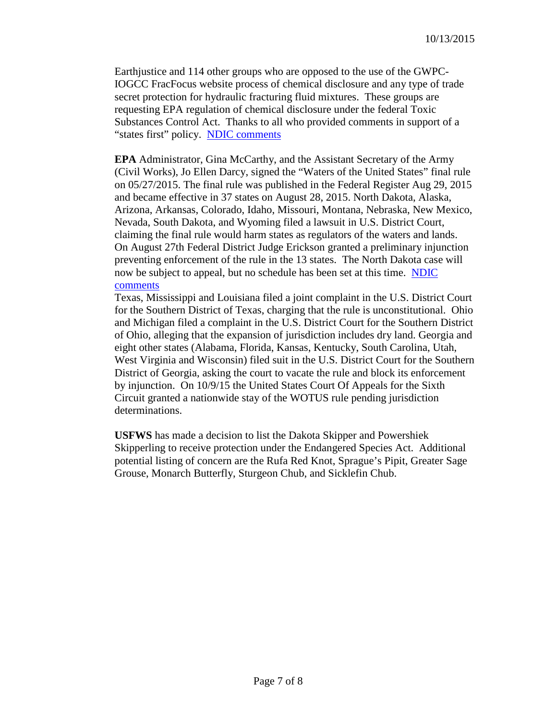Earthjustice and 114 other groups who are opposed to the use of the GWPC-IOGCC FracFocus website process of chemical disclosure and any type of trade secret protection for hydraulic fracturing fluid mixtures. These groups are requesting EPA regulation of chemical disclosure under the federal Toxic Substances Control Act. Thanks to all who provided comments in support of a "states first" policy. [NDIC comments](http://www.nd.gov/ndic/ic-press/DMR-frac714.pdf)

**EPA** Administrator, Gina McCarthy, and the Assistant Secretary of the Army (Civil Works), Jo Ellen Darcy, signed the "Waters of the United States" final rule on 05/27/2015. The final rule was published in the Federal Register Aug 29, 2015 and became effective in 37 states on August 28, 2015. North Dakota, Alaska, Arizona, Arkansas, Colorado, Idaho, Missouri, Montana, Nebraska, New Mexico, Nevada, South Dakota, and Wyoming filed a lawsuit in U.S. District Court, claiming the final rule would harm states as regulators of the waters and lands. On August 27th Federal District Judge Erickson granted a preliminary injunction preventing enforcement of the rule in the 13 states. The North Dakota case will now be subject to appeal, but no schedule has been set at this time. [NDIC](http://www.nd.gov/ndic/ic-press/WOTUS-comments.pdf)  [comments](http://www.nd.gov/ndic/ic-press/WOTUS-comments.pdf)

Texas, Mississippi and Louisiana filed a joint complaint in the U.S. District Court for the Southern District of Texas, charging that the rule is unconstitutional. Ohio and Michigan filed a complaint in the U.S. District Court for the Southern District of Ohio, alleging that the expansion of jurisdiction includes dry land. Georgia and eight other states (Alabama, Florida, Kansas, Kentucky, South Carolina, Utah, West Virginia and Wisconsin) filed suit in the U.S. District Court for the Southern District of Georgia, asking the court to vacate the rule and block its enforcement by injunction. On 10/9/15 the United States Court Of Appeals for the Sixth Circuit granted a nationwide stay of the WOTUS rule pending jurisdiction determinations.

**USFWS** has made a decision to list the Dakota Skipper and Powershiek Skipperling to receive protection under the Endangered Species Act. Additional potential listing of concern are the Rufa Red Knot, Sprague's Pipit, Greater Sage Grouse, Monarch Butterfly, Sturgeon Chub, and Sicklefin Chub.